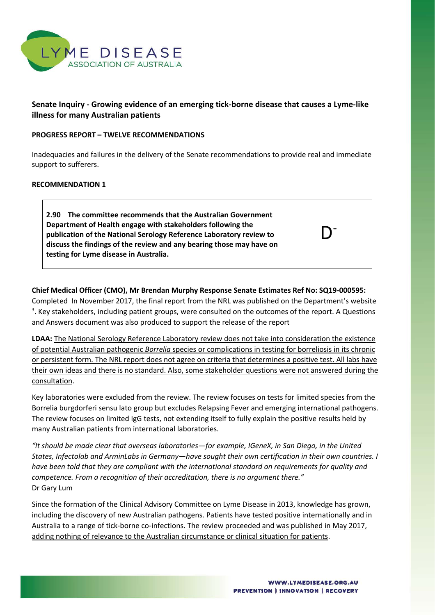

# **Senate Inquiry - Growing evidence of an emerging tick-borne disease that causes a Lyme-like illness for many Australian patients**

### **PROGRESS REPORT – TWELVE RECOMMENDATIONS**

Inadequacies and failures in the delivery of the Senate recommendations to provide real and immediate support to sufferers.

## **RECOMMENDATION 1**

**2.90 The committee recommends that the Australian Government Department of Health engage with stakeholders following the publication of the National Serology Reference Laboratory review to discuss the findings of the review and any bearing those may have on testing for Lyme disease in Australia.**

D-

## **Chief Medical Officer (CMO), Mr Brendan Murphy Response Senate Estimates Ref No: SQ19-000595:**

Completed In November 2017, the final report from the NRL was published on the Department's website <sup>3</sup>. Key stakeholders, including patient groups, were consulted on the outcomes of the report. A Questions and Answers document was also produced to support the release of the report

**LDAA:** The National Serology Reference Laboratory review does not take into consideration the existence of potential Australian pathogenic *Borrelia* species or complications in testing for borreliosis in its chronic or persistent form. The NRL report does not agree on criteria that determines a positive test. All labs have their own ideas and there is no standard. Also, some stakeholder questions were not answered during the consultation.

Key laboratories were excluded from the review. The review focuses on tests for limited species from the Borrelia burgdorferi sensu lato group but excludes Relapsing Fever and emerging international pathogens. The review focuses on limited IgG tests, not extending itself to fully explain the positive results held by many Australian patients from international laboratories.

*"It should be made clear that overseas laboratories—for example, IGeneX, in San Diego, in the United States, Infectolab and ArminLabs in Germany—have sought their own certification in their own countries. I have been told that they are compliant with the international standard on requirements for quality and competence. From a recognition of their accreditation, there is no argument there."* Dr Gary Lum

Since the formation of the Clinical Advisory Committee on Lyme Disease in 2013, knowledge has grown, including the discovery of new Australian pathogens. Patients have tested positive internationally and in Australia to a range of tick-borne co-infections. The review proceeded and was published in May 2017, adding nothing of relevance to the Australian circumstance or clinical situation for patients.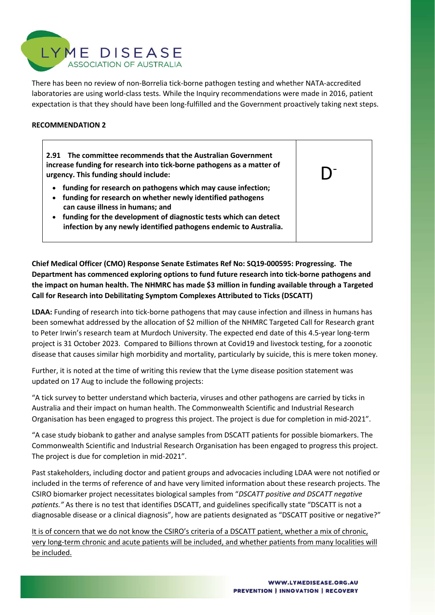

There has been no review of non-Borrelia tick-borne pathogen testing and whether NATA-accredited laboratories are using world-class tests. While the Inquiry recommendations were made in 2016, patient expectation is that they should have been long-fulfilled and the Government proactively taking next steps.

## **RECOMMENDATION 2**

**2.91 The committee recommends that the Australian Government increase funding for research into tick-borne pathogens as a matter of urgency. This funding should include:**

- **funding for research on pathogens which may cause infection;**
- **funding for research on whether newly identified pathogens can cause illness in humans; and**
- **funding for the development of diagnostic tests which can detect infection by any newly identified pathogens endemic to Australia.**

**Chief Medical Officer (CMO) Response Senate Estimates Ref No: SQ19-000595: Progressing. The Department has commenced exploring options to fund future research into tick-borne pathogens and the impact on human health. The NHMRC has made \$3 million in funding available through a Targeted Call for Research into Debilitating Symptom Complexes Attributed to Ticks (DSCATT)**

**LDAA:** Funding of research into tick-borne pathogens that may cause infection and illness in humans has been somewhat addressed by the allocation of \$2 million of the NHMRC Targeted Call for Research grant to Peter Irwin's research team at Murdoch University. The expected end date of this 4.5-year long-term project is 31 October 2023. Compared to Billions thrown at Covid19 and livestock testing, for a zoonotic disease that causes similar high morbidity and mortality, particularly by suicide, this is mere token money.

Further, it is noted at the time of writing this review that the Lyme disease position statement was updated on 17 Aug to include the following projects:

"A tick survey to better understand which bacteria, viruses and other pathogens are carried by ticks in Australia and their impact on human health. The Commonwealth Scientific and Industrial Research Organisation has been engaged to progress this project. The project is due for completion in mid-2021".

"A case study biobank to gather and analyse samples from DSCATT patients for possible biomarkers. The Commonwealth Scientific and Industrial Research Organisation has been engaged to progress this project. The project is due for completion in mid-2021".

Past stakeholders, including doctor and patient groups and advocacies including LDAA were not notified or included in the terms of reference of and have very limited information about these research projects. The CSIRO biomarker project necessitates biological samples from "*DSCATT positive and DSCATT negative patients."* As there is no test that identifies DSCATT, and guidelines specifically state "DSCATT is not a diagnosable disease or a clinical diagnosis", how are patients designated as "DSCATT positive or negative?"

It is of concern that we do not know the CSIRO's criteria of a DSCATT patient, whether a mix of chronic, very long-term chronic and acute patients will be included, and whether patients from many localities will be included.

D-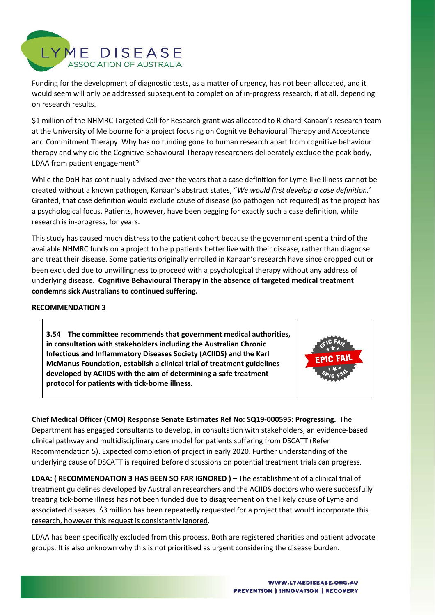

Funding for the development of diagnostic tests, as a matter of urgency, has not been allocated, and it would seem will only be addressed subsequent to completion of in-progress research, if at all, depending on research results.

\$1 million of the NHMRC Targeted Call for Research grant was allocated to Richard Kanaan's research team at the University of Melbourne for a project focusing on Cognitive Behavioural Therapy and Acceptance and Commitment Therapy. Why has no funding gone to human research apart from cognitive behaviour therapy and why did the Cognitive Behavioural Therapy researchers deliberately exclude the peak body, LDAA from patient engagement?

While the DoH has continually advised over the years that a case definition for Lyme-like illness cannot be created without a known pathogen, Kanaan's abstract states, "*We would first develop a case definition.*' Granted, that case definition would exclude cause of disease (so pathogen not required) as the project has a psychological focus. Patients, however, have been begging for exactly such a case definition, while research is in-progress, for years.

This study has caused much distress to the patient cohort because the government spent a third of the available NHMRC funds on a project to help patients better live with their disease, rather than diagnose and treat their disease. Some patients originally enrolled in Kanaan's research have since dropped out or been excluded due to unwillingness to proceed with a psychological therapy without any address of underlying disease. **Cognitive Behavioural Therapy in the absence of targeted medical treatment condemns sick Australians to continued suffering.**

### **RECOMMENDATION 3**

**3.54 The committee recommends that government medical authorities, in consultation with stakeholders including the Australian Chronic Infectious and Inflammatory Diseases Society (ACIIDS) and the Karl McManus Foundation, establish a clinical trial of treatment guidelines developed by ACIIDS with the aim of determining a safe treatment protocol for patients with tick-borne illness.**



**Chief Medical Officer (CMO) Response Senate Estimates Ref No: SQ19-000595: Progressing.** The Department has engaged consultants to develop, in consultation with stakeholders, an evidence-based clinical pathway and multidisciplinary care model for patients suffering from DSCATT (Refer Recommendation 5). Expected completion of project in early 2020. Further understanding of the underlying cause of DSCATT is required before discussions on potential treatment trials can progress.

**LDAA: ( RECOMMENDATION 3 HAS BEEN SO FAR IGNORED )** – The establishment of a clinical trial of treatment guidelines developed by Australian researchers and the ACIIDS doctors who were successfully treating tick-borne illness has not been funded due to disagreement on the likely cause of Lyme and associated diseases. \$3 million has been repeatedly requested for a project that would incorporate this research, however this request is consistently ignored.

LDAA has been specifically excluded from this process. Both are registered charities and patient advocate groups. It is also unknown why this is not prioritised as urgent considering the disease burden.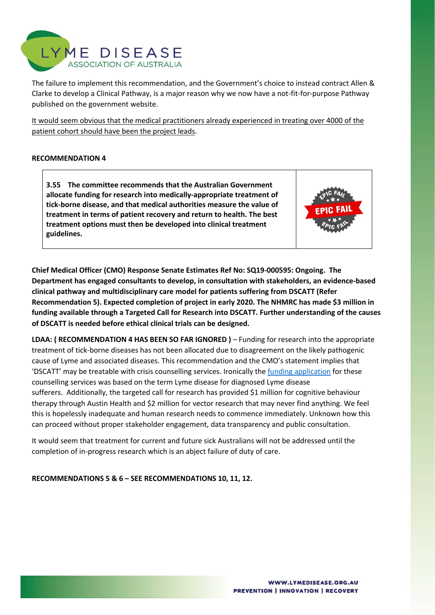

The failure to implement this recommendation, and the Government's choice to instead contract Allen & Clarke to develop a Clinical Pathway, is a major reason why we now have a not-fit-for-purpose Pathway published on the government website.

It would seem obvious that the medical practitioners already experienced in treating over 4000 of the patient cohort should have been the project leads.

## **RECOMMENDATION 4**

**3.55 The committee recommends that the Australian Government allocate funding for research into medically-appropriate treatment of tick-borne disease, and that medical authorities measure the value of treatment in terms of patient recovery and return to health. The best treatment options must then be developed into clinical treatment guidelines.**

**Chief Medical Officer (CMO) Response Senate Estimates Ref No: SQ19-000595: Ongoing. The Department has engaged consultants to develop, in consultation with stakeholders, an evidence-based clinical pathway and multidisciplinary care model for patients suffering from DSCATT (Refer Recommendation 5). Expected completion of project in early 2020. The NHMRC has made \$3 million in funding available through a Targeted Call for Research into DSCATT. Further understanding of the causes of DSCATT is needed before ethical clinical trials can be designed.**

**LDAA: ( RECOMMENDATION 4 HAS BEEN SO FAR IGNORED )** – Funding for research into the appropriate treatment of tick-borne diseases has not been allocated due to disagreement on the likely pathogenic cause of Lyme and associated diseases. This recommendation and the CMO's statement implies that 'DSCATT' may be treatable with crisis counselling services. Ironically the funding application for these counselling services was based on the term Lyme disease for diagnosed Lyme disease sufferers. Additionally, the targeted call for research has provided \$1 million for cognitive behaviour therapy through Austin Health and \$2 million for vector research that may never find anything. We feel this is hopelessly inadequate and human research needs to commence immediately. Unknown how this can proceed without proper stakeholder engagement, data transparency and public consultation.

It would seem that treatment for current and future sick Australians will not be addressed until the completion of in-progress research which is an abject failure of duty of care.

**RECOMMENDATIONS 5 & 6 – SEE RECOMMENDATIONS 10, 11, 12.**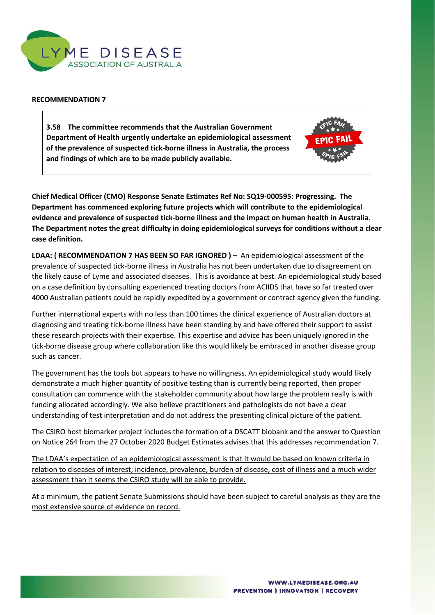

### **RECOMMENDATION 7**

**3.58 The committee recommends that the Australian Government Department of Health urgently undertake an epidemiological assessment of the prevalence of suspected tick-borne illness in Australia, the process and findings of which are to be made publicly available.**



**Chief Medical Officer (CMO) Response Senate Estimates Ref No: SQ19-000595: Progressing. The Department has commenced exploring future projects which will contribute to the epidemiological evidence and prevalence of suspected tick-borne illness and the impact on human health in Australia. The Department notes the great difficulty in doing epidemiological surveys for conditions without a clear case definition.**

**LDAA: ( RECOMMENDATION 7 HAS BEEN SO FAR IGNORED )** – An epidemiological assessment of the prevalence of suspected tick-borne illness in Australia has not been undertaken due to disagreement on the likely cause of Lyme and associated diseases. This is avoidance at best. An epidemiological study based on a case definition by consulting experienced treating doctors from ACIIDS that have so far treated over 4000 Australian patients could be rapidly expedited by a government or contract agency given the funding.

Further international experts with no less than 100 times the clinical experience of Australian doctors at diagnosing and treating tick-borne illness have been standing by and have offered their support to assist these research projects with their expertise. This expertise and advice has been uniquely ignored in the tick-borne disease group where collaboration like this would likely be embraced in another disease group such as cancer.

The government has the tools but appears to have no willingness. An epidemiological study would likely demonstrate a much higher quantity of positive testing than is currently being reported, then proper consultation can commence with the stakeholder community about how large the problem really is with funding allocated accordingly. We also believe practitioners and pathologists do not have a clear understanding of test interpretation and do not address the presenting clinical picture of the patient.

The CSIRO host biomarker project includes the formation of a DSCATT biobank and the answer to Question on Notice 264 from the 27 October 2020 Budget Estimates advises that this addresses recommendation 7.

The LDAA's expectation of an epidemiological assessment is that it would be based on known criteria in relation to diseases of interest; incidence, prevalence, burden of disease, cost of illness and a much wider assessment than it seems the CSIRO study will be able to provide.

At a minimum, the patient Senate Submissions should have been subject to careful analysis as they are the most extensive source of evidence on record.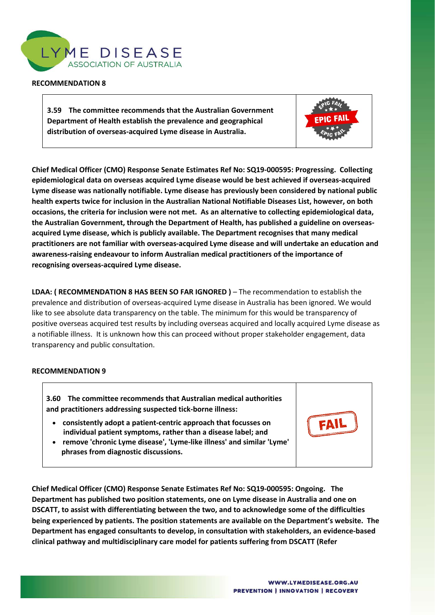

#### **RECOMMENDATION 8**

**3.59 The committee recommends that the Australian Government Department of Health establish the prevalence and geographical distribution of overseas-acquired Lyme disease in Australia.**



**Chief Medical Officer (CMO) Response Senate Estimates Ref No: SQ19-000595: Progressing. Collecting epidemiological data on overseas acquired Lyme disease would be best achieved if overseas-acquired Lyme disease was nationally notifiable. Lyme disease has previously been considered by national public health experts twice for inclusion in the Australian National Notifiable Diseases List, however, on both occasions, the criteria for inclusion were not met. As an alternative to collecting epidemiological data, the Australian Government, through the Department of Health, has published a guideline on overseasacquired Lyme disease, which is publicly available. The Department recognises that many medical practitioners are not familiar with overseas-acquired Lyme disease and will undertake an education and awareness-raising endeavour to inform Australian medical practitioners of the importance of recognising overseas-acquired Lyme disease.**

**LDAA: ( RECOMMENDATION 8 HAS BEEN SO FAR IGNORED )** – The recommendation to establish the prevalence and distribution of overseas-acquired Lyme disease in Australia has been ignored. We would like to see absolute data transparency on the table. The minimum for this would be transparency of positive overseas acquired test results by including overseas acquired and locally acquired Lyme disease as a notifiable illness. It is unknown how this can proceed without proper stakeholder engagement, data transparency and public consultation.

### **RECOMMENDATION 9**

**3.60 The committee recommends that Australian medical authorities and practitioners addressing suspected tick-borne illness:**

- **consistently adopt a patient-centric approach that focusses on individual patient symptoms, rather than a disease label; and**
- **remove 'chronic Lyme disease', 'Lyme-like illness' and similar 'Lyme' phrases from diagnostic discussions.**

**Chief Medical Officer (CMO) Response Senate Estimates Ref No: SQ19-000595: Ongoing. The Department has published two position statements, one on Lyme disease in Australia and one on DSCATT, to assist with differentiating between the two, and to acknowledge some of the difficulties being experienced by patients. The position statements are available on the Department's website. The Department has engaged consultants to develop, in consultation with stakeholders, an evidence-based clinical pathway and multidisciplinary care model for patients suffering from DSCATT (Refer** 

FAI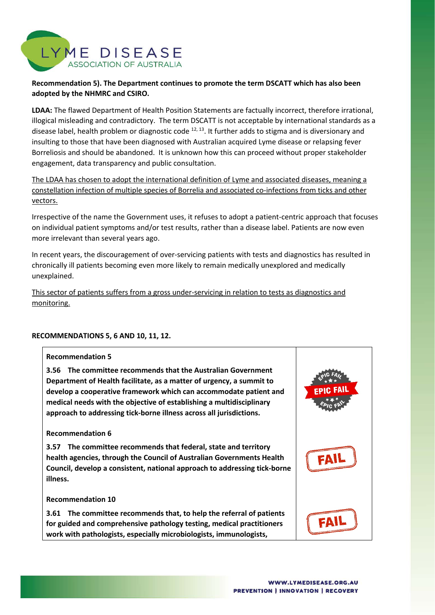

## **Recommendation 5). The Department continues to promote the term DSCATT which has also been adopted by the NHMRC and CSIRO.**

**LDAA:** The flawed Department of Health Position Statements are factually incorrect, therefore irrational, illogical misleading and contradictory. The term DSCATT is not acceptable by international standards as a disease label, health problem or diagnostic code  $12, 13$ . It further adds to stigma and is diversionary and insulting to those that have been diagnosed with Australian acquired Lyme disease or relapsing fever Borreliosis and should be abandoned. It is unknown how this can proceed without proper stakeholder engagement, data transparency and public consultation.

The LDAA has chosen to adopt the international definition of Lyme and associated diseases, meaning a constellation infection of multiple species of Borrelia and associated co-infections from ticks and other vectors.

Irrespective of the name the Government uses, it refuses to adopt a patient-centric approach that focuses on individual patient symptoms and/or test results, rather than a disease label. Patients are now even more irrelevant than several years ago.

In recent years, the discouragement of over-servicing patients with tests and diagnostics has resulted in chronically ill patients becoming even more likely to remain medically unexplored and medically unexplained.

This sector of patients suffers from a gross under-servicing in relation to tests as diagnostics and monitoring.

### **RECOMMENDATIONS 5, 6 AND 10, 11, 12.**

### **Recommendation 5**

**3.56 The committee recommends that the Australian Government Department of Health facilitate, as a matter of urgency, a summit to develop a cooperative framework which can accommodate patient and medical needs with the objective of establishing a multidisciplinary approach to addressing tick-borne illness across all jurisdictions.**

### **Recommendation 6**

**3.57 The committee recommends that federal, state and territory health agencies, through the Council of Australian Governments Health Council, develop a consistent, national approach to addressing tick-borne illness.**

#### **Recommendation 10**

**3.61 The committee recommends that, to help the referral of patients for guided and comprehensive pathology testing, medical practitioners work with pathologists, especially microbiologists, immunologists,**

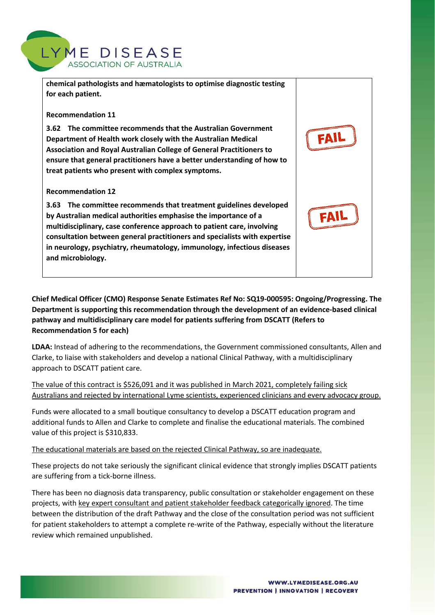

**chemical pathologists and hæmatologists to optimise diagnostic testing for each patient.** 

### **Recommendation 11**

**3.62 The committee recommends that the Australian Government Department of Health work closely with the Australian Medical Association and Royal Australian College of General Practitioners to ensure that general practitioners have a better understanding of how to treat patients who present with complex symptoms.**

### **Recommendation 12**

**3.63 The committee recommends that treatment guidelines developed by Australian medical authorities emphasise the importance of a multidisciplinary, case conference approach to patient care, involving consultation between general practitioners and specialists with expertise in neurology, psychiatry, rheumatology, immunology, infectious diseases and microbiology.**

**Chief Medical Officer (CMO) Response Senate Estimates Ref No: SQ19-000595: Ongoing/Progressing. The Department is supporting this recommendation through the development of an evidence-based clinical pathway and multidisciplinary care model for patients suffering from DSCATT (Refers to Recommendation 5 for each)**

**LDAA:** Instead of adhering to the recommendations, the Government commissioned consultants, Allen and Clarke, to liaise with stakeholders and develop a national Clinical Pathway, with a multidisciplinary approach to DSCATT patient care.

The value of this contract is \$526,091 and it was published in March 2021, completely failing sick Australians and rejected by international Lyme scientists, experienced clinicians and every advocacy group.

Funds were allocated to a small boutique consultancy to develop a DSCATT education program and additional funds to Allen and Clarke to complete and finalise the educational materials. The combined value of this project is \$310,833.

The educational materials are based on the rejected Clinical Pathway, so are inadequate.

These projects do not take seriously the significant clinical evidence that strongly implies DSCATT patients are suffering from a tick-borne illness.

There has been no diagnosis data transparency, public consultation or stakeholder engagement on these projects, with key expert consultant and patient stakeholder feedback categorically ignored. The time between the distribution of the draft Pathway and the close of the consultation period was not sufficient for patient stakeholders to attempt a complete re-write of the Pathway, especially without the literature review which remained unpublished.

FAI

FAII